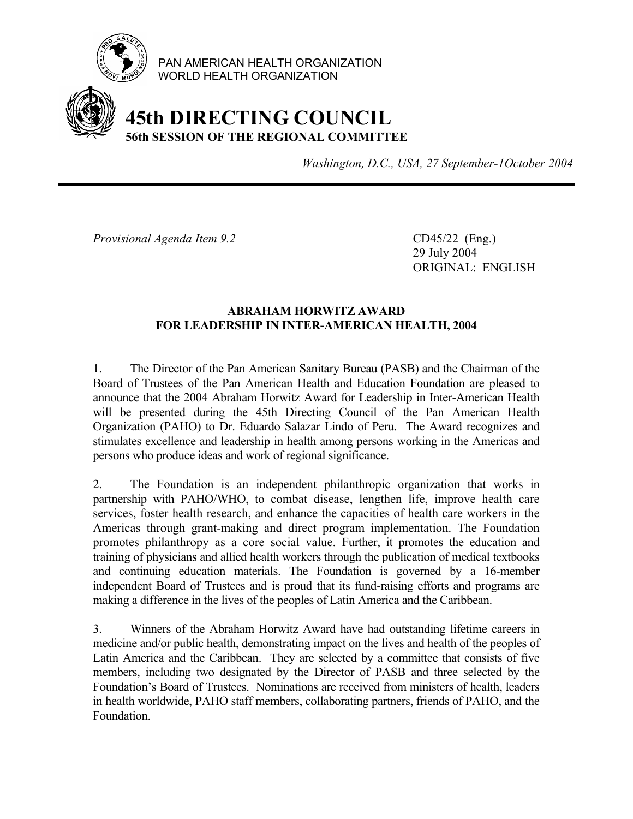

PAN AMERICAN HEALTH ORGANIZATION WORLD HEALTH ORGANIZATION

## **45th DIRECTING COUNCIL 56th SESSION OF THE REGIONAL COMMITTEE**

*Washington, D.C., USA, 27 September-1October 2004*

*Provisional Agenda Item 9.2* CD45/22 (Eng.)

 29 July 2004 ORIGINAL: ENGLISH

## **ABRAHAM HORWITZ AWARD FOR LEADERSHIP IN INTER-AMERICAN HEALTH, 2004**

1. The Director of the Pan American Sanitary Bureau (PASB) and the Chairman of the Board of Trustees of the Pan American Health and Education Foundation are pleased to announce that the 2004 Abraham Horwitz Award for Leadership in Inter-American Health will be presented during the 45th Directing Council of the Pan American Health Organization (PAHO) to Dr. Eduardo Salazar Lindo of Peru. The Award recognizes and stimulates excellence and leadership in health among persons working in the Americas and persons who produce ideas and work of regional significance.

2. The Foundation is an independent philanthropic organization that works in partnership with PAHO/WHO, to combat disease, lengthen life, improve health care services, foster health research, and enhance the capacities of health care workers in the Americas through grant-making and direct program implementation. The Foundation promotes philanthropy as a core social value. Further, it promotes the education and training of physicians and allied health workers through the publication of medical textbooks and continuing education materials. The Foundation is governed by a 16-member independent Board of Trustees and is proud that its fund-raising efforts and programs are making a difference in the lives of the peoples of Latin America and the Caribbean.

3. Winners of the Abraham Horwitz Award have had outstanding lifetime careers in medicine and/or public health, demonstrating impact on the lives and health of the peoples of Latin America and the Caribbean. They are selected by a committee that consists of five members, including two designated by the Director of PASB and three selected by the Foundation's Board of Trustees. Nominations are received from ministers of health, leaders in health worldwide, PAHO staff members, collaborating partners, friends of PAHO, and the Foundation.